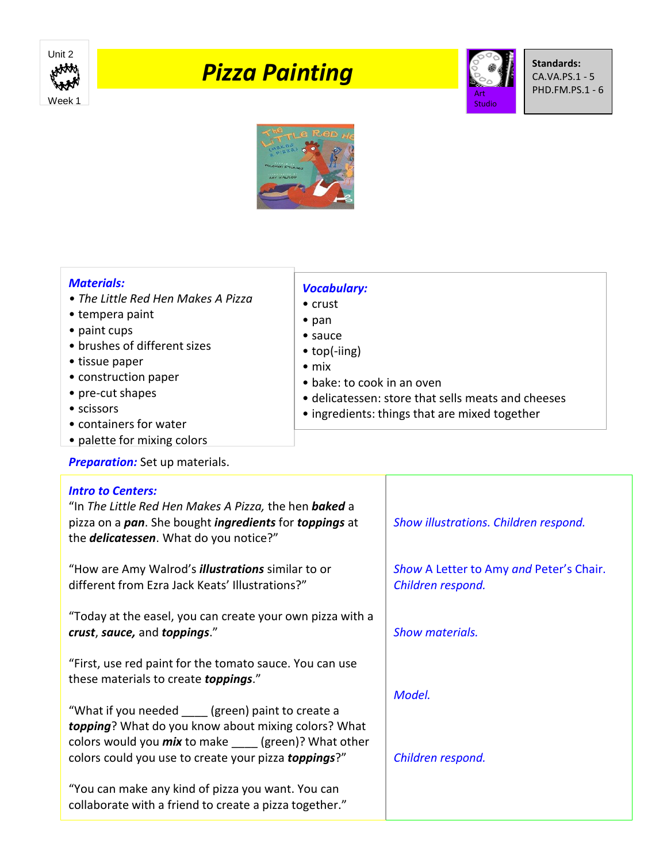

# *Pizza Painting*



**Standards:** CA.VA.PS.1 - 5 PHD.FM.PS.1 - 6



## *Materials:*

- *The Little Red Hen Makes A Pizza*
- tempera paint
- paint cups
- brushes of different sizes
- tissue paper
- construction paper
- pre-cut shapes
- scissors
- containers for water
- palette for mixing colors

## **Preparation:** Set up materials.

### *Vocabulary:* • crust

- pan
- sauce
- top(-iing)
- mix
- bake: to cook in an oven
- delicatessen: store that sells meats and cheeses
- ingredients: things that are mixed together

| <b>Intro to Centers:</b><br>"In The Little Red Hen Makes A Pizza, the hen baked a<br>pizza on a <i>pan</i> . She bought <i>ingredients</i> for <i>toppings</i> at<br>the <i>delicatessen</i> . What do you notice?"               | Show illustrations. Children respond.                        |
|-----------------------------------------------------------------------------------------------------------------------------------------------------------------------------------------------------------------------------------|--------------------------------------------------------------|
| "How are Amy Walrod's <i>illustrations</i> similar to or<br>different from Ezra Jack Keats' Illustrations?"                                                                                                                       | Show A Letter to Amy and Peter's Chair.<br>Children respond. |
| "Today at the easel, you can create your own pizza with a<br>crust, sauce, and toppings."                                                                                                                                         | <b>Show materials.</b>                                       |
| "First, use red paint for the tomato sauce. You can use<br>these materials to create <b>toppings</b> ."                                                                                                                           | Model.                                                       |
| "What if you needed ____ (green) paint to create a<br>topping? What do you know about mixing colors? What<br>colors would you <i>mix</i> to make ____ (green)? What other<br>colors could you use to create your pizza toppings?" | Children respond.                                            |
| "You can make any kind of pizza you want. You can<br>collaborate with a friend to create a pizza together."                                                                                                                       |                                                              |